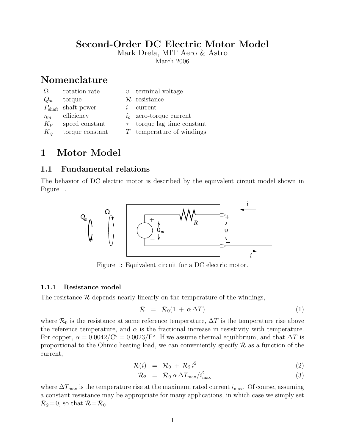## Second-Order DC Electric Motor Model

Mark Drela, MIT Aero & Astro

March 2006

# Nomenclature

| $\Omega$    | rotation rate                  |              | $v$ terminal voltage            |
|-------------|--------------------------------|--------------|---------------------------------|
| $Q_m$       | torque                         |              | $\mathcal{R}$ resistance        |
|             | $P_{\text{shaft}}$ shaft power | $\mathbf{r}$ | current                         |
| $\eta_m$    | efficiency                     |              | $io$ zero-torque current        |
| $K_{V}$     | speed constant                 |              | $\tau$ torque lag time constant |
| $K_{\rm o}$ | torque constant                |              | $T$ temperature of windings     |

# 1 Motor Model

### 1.1 Fundamental relations

The behavior of DC electric motor is described by the equivalent circuit model shown in Figure 1.



Figure 1: Equivalent circuit for a DC electric motor.

#### 1.1.1 Resistance model

The resistance  $R$  depends nearly linearly on the temperature of the windings,

$$
\mathcal{R} = \mathcal{R}_0(1 + \alpha \Delta T) \tag{1}
$$

where  $\mathcal{R}_0$  is the resistance at some reference temperature,  $\Delta T$  is the temperature rise above the reference temperature, and  $\alpha$  is the fractional increase in resistivity with temperature. For copper,  $\alpha = 0.0042/C^{\circ} = 0.0023/F^{\circ}$ . If we assume thermal equilibrium, and that  $\Delta T$  is proportional to the Ohmic heating load, we can conveniently specify  $\mathcal R$  as a function of the current,

$$
\mathcal{R}(i) = \mathcal{R}_0 + \mathcal{R}_2 i^2 \tag{2}
$$

$$
\mathcal{R}_2 = \mathcal{R}_0 \alpha \Delta T_{\text{max}} / i_{\text{max}}^2 \tag{3}
$$

where  $\Delta T_{\text{max}}$  is the temperature rise at the maximum rated current  $i_{\text{max}}$ . Of course, assuming a constant resistance may be appropriate for many applications, in which case we simply set  $\mathcal{R}_2 = 0$ , so that  $\mathcal{R} = \mathcal{R}_0$ .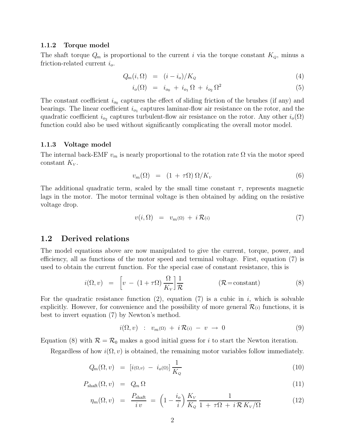#### 1.1.2 Torque model

The shaft torque  $Q_m$  is proportional to the current i via the torque constant  $K_Q$ , minus a friction-related current  $i_o$ .

$$
Q_m(i, \Omega) = (i - i_o) / K_Q \tag{4}
$$

$$
i_o(\Omega) = i_{o_0} + i_{o_1} \Omega + i_{o_2} \Omega^2 \tag{5}
$$

The constant coefficient  $i_{\infty}$  captures the effect of sliding friction of the brushes (if any) and bearings. The linear coefficient  $i_{o_1}$  captures laminar-flow air resistance on the rotor, and the quadratic coefficient  $i_{o_2}$  captures turbulent-flow air resistance on the rotor. Any other  $i_o(\Omega)$ function could also be used without significantly complicating the overall motor model.

#### 1.1.3 Voltage model

The internal back-EMF  $v_m$  is nearly proportional to the rotation rate  $\Omega$  via the motor speed constant  $K_V$ .

$$
v_m(\Omega) = (1 + \tau \Omega) \Omega / K_V \tag{6}
$$

The additional quadratic term, scaled by the small time constant  $\tau$ , represents magnetic lags in the motor. The motor terminal voltage is then obtained by adding on the resistive voltage drop.

$$
v(i,\Omega) = v_m(\Omega) + i\mathcal{R}(i)
$$
\n(7)

#### 1.2 Derived relations

The model equations above are now manipulated to give the current, torque, power, and efficiency, all as functions of the motor speed and terminal voltage. First, equation (7) is used to obtain the current function. For the special case of constant resistance, this is

$$
i(\Omega, v) = \left[ v - (1 + \tau \Omega) \frac{\Omega}{K_v} \right] \frac{1}{\mathcal{R}} \qquad (\mathcal{R} = \text{constant}) \qquad (8)
$$

For the quadratic resistance function (2), equation (7) is a cubic in i, which is solvable explicitly. However, for convenience and the possibility of more general  $\mathcal{R}(i)$  functions, it is best to invert equation (7) by Newton's method.

$$
i(\Omega, v) : v_m(\Omega) + i\mathcal{R}(i) - v \to 0 \tag{9}
$$

Equation (8) with  $\mathcal{R} = \mathcal{R}_0$  makes a good initial guess for i to start the Newton iteration.

Regardless of how  $i(\Omega, v)$  is obtained, the remaining motor variables follow immediately.

$$
Q_m(\Omega, v) = [i(\Omega, v) - i_o(\Omega)] \frac{1}{K_Q} \tag{10}
$$

$$
P_{\text{shaff}}(\Omega, v) = Q_m \Omega \tag{11}
$$

$$
\eta_m(\Omega, v) = \frac{P_{\text{shaff}}}{iv} = \left(1 - \frac{i_o}{i}\right) \frac{K_v}{K_Q} \frac{1}{1 + \tau \Omega + i \mathcal{R} K_v / \Omega} \tag{12}
$$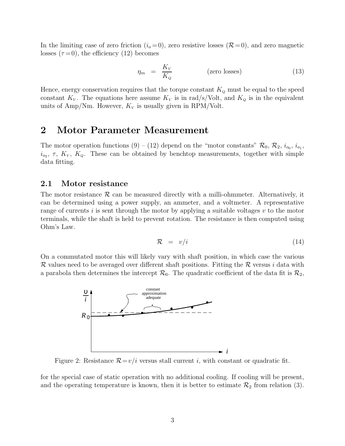In the limiting case of zero friction  $(i_0 = 0)$ , zero resistive losses  $(\mathcal{R} = 0)$ , and zero magnetic losses  $(\tau = 0)$ , the efficiency (12) becomes

$$
\eta_m = \frac{K_V}{K_Q} \tag{13}
$$

Hence, energy conservation requires that the torque constant  $K_Q$  must be equal to the speed constant  $K_V$ . The equations here assume  $K_V$  is in rad/s/Volt, and  $K_Q$  is in the equivalent units of Amp/Nm. However,  $K_V$  is usually given in RPM/Volt.

## 2 Motor Parameter Measurement

The motor operation functions (9) – (12) depend on the "motor constants"  $\mathcal{R}_0, \mathcal{R}_2, i_{o_0}, i_{o_1}$  $i_{o_2}$ ,  $\tau$ ,  $K_V$ ,  $K_Q$ . These can be obtained by benchtop measurements, together with simple data fitting.

### 2.1 Motor resistance

The motor resistance  $\mathcal R$  can be measured directly with a milli-ohmmeter. Alternatively, it can be determined using a power supply, an ammeter, and a voltmeter. A representative range of currents i is sent through the motor by applying a suitable voltages  $v$  to the motor terminals, while the shaft is held to prevent rotation. The resistance is then computed using Ohm's Law.

$$
\mathcal{R} = v/i \tag{14}
$$

On a commutated motor this will likely vary with shaft position, in which case the various R values need to be averaged over different shaft positions. Fitting the R versus i data with a parabola then determines the intercept  $\mathcal{R}_0$ . The quadratic coefficient of the data fit is  $\mathcal{R}_2$ ,



Figure 2: Resistance  $\mathcal{R}=v/i$  versus stall current *i*, with constant or quadratic fit.

for the special case of static operation with no additional cooling. If cooling will be present, and the operating temperature is known, then it is better to estimate  $\mathcal{R}_2$  from relation (3).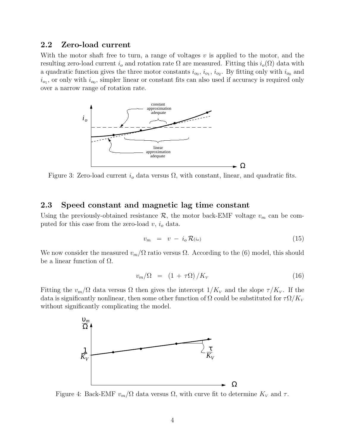#### 2.2 Zero-load current

With the motor shaft free to turn, a range of voltages  $v$  is applied to the motor, and the resulting zero-load current  $i_o$  and rotation rate  $\Omega$  are measured. Fitting this  $i_o(\Omega)$  data with a quadratic function gives the three motor constants  $i_{o_0}, i_{o_1}, i_{o_2}$ . By fitting only with  $i_{o_0}$  and  $i_{o_1}$ , or only with  $i_{o_0}$ , simpler linear or constant fits can also used if accuracy is required only over a narrow range of rotation rate.



Figure 3: Zero-load current  $i<sub>o</sub>$  data versus  $\Omega$ , with constant, linear, and quadratic fits.

#### 2.3 Speed constant and magnetic lag time constant

Using the previously-obtained resistance  $\mathcal{R}$ , the motor back-EMF voltage  $v_m$  can be computed for this case from the zero-load  $v, i<sub>o</sub>$  data.

$$
v_m = v - i_o \mathcal{R}(i_o) \tag{15}
$$

We now consider the measured  $v_m/\Omega$  ratio versus  $\Omega$ . According to the (6) model, this should be a linear function of  $\Omega$ .

$$
v_m/\Omega = (1 + \tau \Omega) / K_V \tag{16}
$$

Fitting the  $v_m/\Omega$  data versus  $\Omega$  then gives the intercept  $1/K_v$  and the slope  $\tau/K_v$ . If the data is significantly nonlinear, then some other function of  $\Omega$  could be substituted for  $\tau \Omega / K_V$ without significantly complicating the model.



Figure 4: Back-EMF  $v_m/\Omega$  data versus  $\Omega$ , with curve fit to determine  $K_V$  and  $\tau$ .